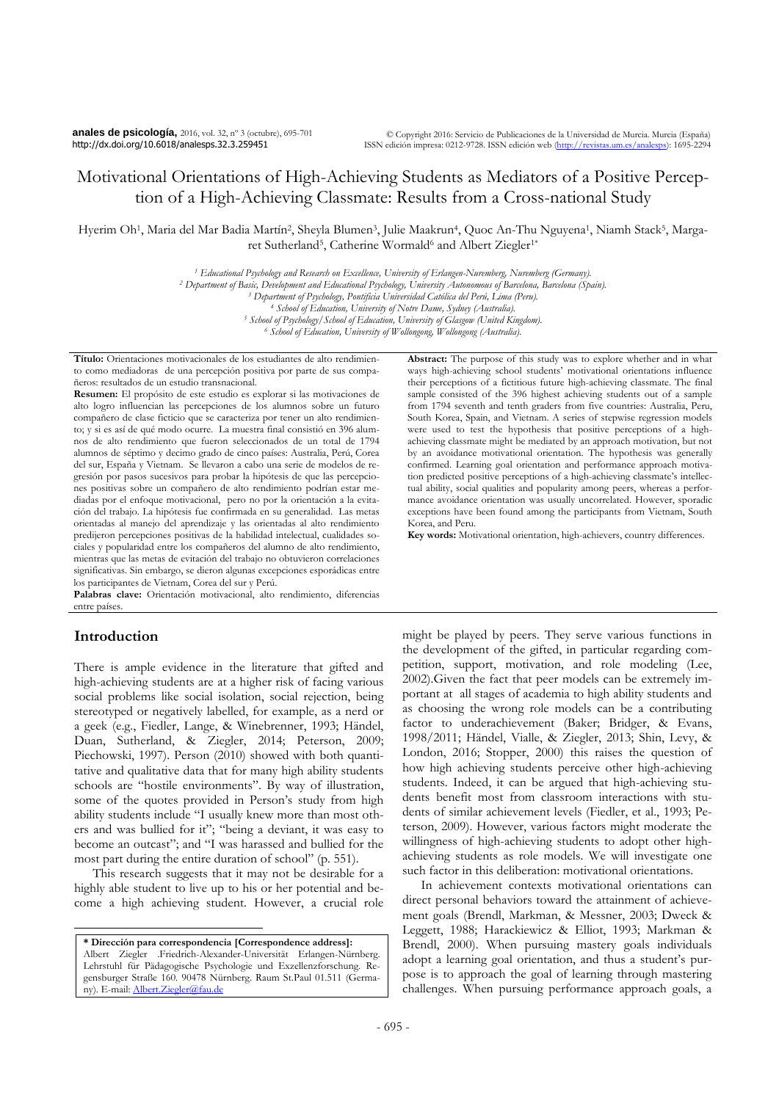# Motivational Orientations of High-Achieving Students as Mediators of a Positive Perception of a High-Achieving Classmate: Results from a Cross-national Study

Hyerim Oh', Maria del Mar Badia Martín<sup>2</sup>, Sheyla Blumen<sup>3</sup>, Julie Maakrun<sup>4</sup>, Quoc An-Thu Nguyena<sup>1</sup>, Niamh Stack<sup>5</sup>, Margaret Sutherland<sup>5</sup>, Catherine Wormald<sup>6</sup> and Albert Ziegler<sup>1\*</sup>

*<sup>1</sup> Educational Psychology and Research on Excellence, University of Erlangen-Nuremberg, Nuremberg (Germany).*

*<sup>2</sup> Department of Basic, Development and Educational Psychology, University Autonomous of Barcelona, Barcelona (Spain).*

*<sup>3</sup> Department of Psychology, Pontificia Universidad Católica del Perú, Lima (Peru).*

*<sup>4</sup> School of Education, University of Notre Dame, Sydney (Australia).*

*<sup>5</sup> School of Psychology/School of Education, University of Glasgow (United Kingdom).*

*<sup>6</sup> School of Education, University of Wollongong, Wollongong (Australia).*

**Título:** Orientaciones motivacionales de los estudiantes de alto rendimiento como mediadoras de una percepción positiva por parte de sus compañeros: resultados de un estudio transnacional.

**Resumen:** El propósito de este estudio es explorar si las motivaciones de alto logro influencian las percepciones de los alumnos sobre un futuro compañero de clase ficticio que se caracteriza por tener un alto rendimiento; y si es así de qué modo ocurre. La muestra final consistió en 396 alumnos de alto rendimiento que fueron seleccionados de un total de 1794 alumnos de séptimo y decimo grado de cinco países: Australia, Perú, Corea del sur, España y Vietnam. Se llevaron a cabo una serie de modelos de regresión por pasos sucesivos para probar la hipótesis de que las percepciones positivas sobre un compañero de alto rendimiento podrían estar mediadas por el enfoque motivacional, pero no por la orientación a la evitación del trabajo. La hipótesis fue confirmada en su generalidad. Las metas orientadas al manejo del aprendizaje y las orientadas al alto rendimiento predijeron percepciones positivas de la habilidad intelectual, cualidades sociales y popularidad entre los compañeros del alumno de alto rendimiento, mientras que las metas de evitación del trabajo no obtuvieron correlaciones significativas. Sin embargo, se dieron algunas excepciones esporádicas entre los participantes de Vietnam, Corea del sur y Perú.

**Palabras clave:** Orientación motivacional, alto rendimiento, diferencias entre países.

# **Introduction**

 $\overline{a}$ 

There is ample evidence in the literature that gifted and high-achieving students are at a higher risk of facing various social problems like social isolation, social rejection, being stereotyped or negatively labelled, for example, as a nerd or a geek (e.g., Fiedler, Lange, & Winebrenner, 1993; Händel, Duan, Sutherland, & Ziegler, 2014; Peterson, 2009; Piechowski, 1997). Person (2010) showed with both quantitative and qualitative data that for many high ability students schools are "hostile environments". By way of illustration, some of the quotes provided in Person's study from high ability students include "I usually knew more than most others and was bullied for it"; "being a deviant, it was easy to become an outcast"; and "I was harassed and bullied for the most part during the entire duration of school" (p. 551).

This research suggests that it may not be desirable for a highly able student to live up to his or her potential and become a high achieving student. However, a crucial role

**\* Dirección para correspondencia [Correspondence address]:** Albert Ziegler .Friedrich-Alexander-Universität Erlangen-Nürnberg. Lehrstuhl für Pädagogische Psychologie und Exzellenzforschung. Regensburger Straße 160. 90478 Nürnberg. Raum St.Paul 01.511 (Germany). E-mail: **Albert. Ziegler@fau.de** 

**Abstract:** The purpose of this study was to explore whether and in what ways high-achieving school students' motivational orientations influence their perceptions of a fictitious future high-achieving classmate. The final sample consisted of the 396 highest achieving students out of a sample from 1794 seventh and tenth graders from five countries: Australia, Peru, South Korea, Spain, and Vietnam. A series of stepwise regression models were used to test the hypothesis that positive perceptions of a highachieving classmate might be mediated by an approach motivation, but not by an avoidance motivational orientation. The hypothesis was generally confirmed. Learning goal orientation and performance approach motivation predicted positive perceptions of a high-achieving classmate's intellectual ability, social qualities and popularity among peers, whereas a performance avoidance orientation was usually uncorrelated. However, sporadic exceptions have been found among the participants from Vietnam, South Korea, and Peru.

**Key words:** Motivational orientation, high-achievers, country differences.

might be played by peers. They serve various functions in the development of the gifted, in particular regarding competition, support, motivation, and role modeling (Lee, 2002).Given the fact that peer models can be extremely important at all stages of academia to high ability students and as choosing the wrong role models can be a contributing factor to underachievement (Baker; Bridger, & Evans, 1998/2011; Händel, Vialle, & Ziegler, 2013; Shin, Levy, & London, 2016; Stopper, 2000) this raises the question of how high achieving students perceive other high-achieving students. Indeed, it can be argued that high-achieving students benefit most from classroom interactions with students of similar achievement levels (Fiedler, et al., 1993; Peterson, 2009). However, various factors might moderate the willingness of high-achieving students to adopt other highachieving students as role models. We will investigate one such factor in this deliberation: motivational orientations.

In achievement contexts motivational orientations can direct personal behaviors toward the attainment of achievement goals (Brendl, Markman, & Messner, 2003; Dweck & Leggett, 1988; Harackiewicz & Elliot, 1993; Markman & Brendl, 2000). When pursuing mastery goals individuals adopt a learning goal orientation, and thus a student's purpose is to approach the goal of learning through mastering challenges. When pursuing performance approach goals, a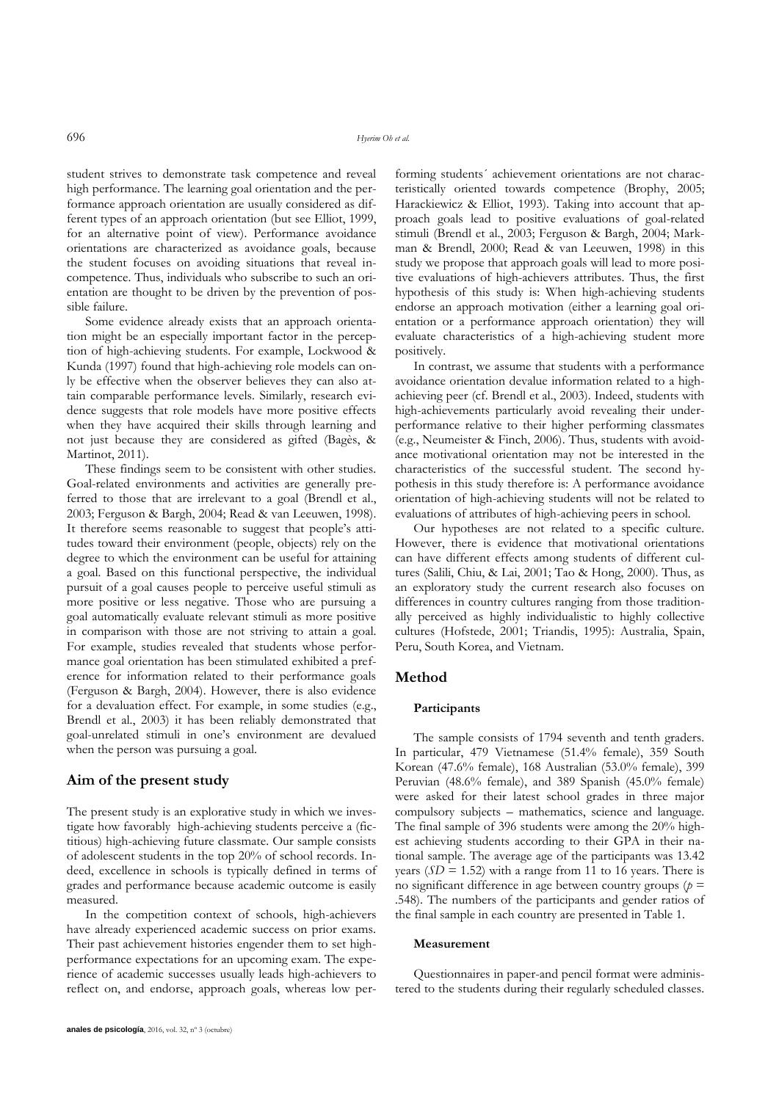student strives to demonstrate task competence and reveal high performance. The learning goal orientation and the performance approach orientation are usually considered as different types of an approach orientation (but see Elliot, 1999, for an alternative point of view). Performance avoidance orientations are characterized as avoidance goals, because the student focuses on avoiding situations that reveal incompetence. Thus, individuals who subscribe to such an orientation are thought to be driven by the prevention of possible failure.

Some evidence already exists that an approach orientation might be an especially important factor in the perception of high-achieving students. For example, Lockwood & Kunda (1997) found that high-achieving role models can only be effective when the observer believes they can also attain comparable performance levels. Similarly, research evidence suggests that role models have more positive effects when they have acquired their skills through learning and not just because they are considered as gifted (Bagès, & Martinot, 2011).

These findings seem to be consistent with other studies. Goal-related environments and activities are generally preferred to those that are irrelevant to a goal (Brendl et al., 2003; Ferguson & Bargh, 2004; Read & van Leeuwen, 1998). It therefore seems reasonable to suggest that people's attitudes toward their environment (people, objects) rely on the degree to which the environment can be useful for attaining a goal. Based on this functional perspective, the individual pursuit of a goal causes people to perceive useful stimuli as more positive or less negative. Those who are pursuing a goal automatically evaluate relevant stimuli as more positive in comparison with those are not striving to attain a goal. For example, studies revealed that students whose performance goal orientation has been stimulated exhibited a preference for information related to their performance goals (Ferguson & Bargh, 2004). However, there is also evidence for a devaluation effect. For example, in some studies (e.g., Brendl et al., 2003) it has been reliably demonstrated that goal-unrelated stimuli in one's environment are devalued when the person was pursuing a goal.

## **Aim of the present study**

The present study is an explorative study in which we investigate how favorably high-achieving students perceive a (fictitious) high-achieving future classmate. Our sample consists of adolescent students in the top 20% of school records. Indeed, excellence in schools is typically defined in terms of grades and performance because academic outcome is easily measured.

In the competition context of schools, high-achievers have already experienced academic success on prior exams. Their past achievement histories engender them to set highperformance expectations for an upcoming exam. The experience of academic successes usually leads high-achievers to reflect on, and endorse, approach goals, whereas low performing students´ achievement orientations are not characteristically oriented towards competence (Brophy, 2005; Harackiewicz & Elliot, 1993). Taking into account that approach goals lead to positive evaluations of goal-related stimuli (Brendl et al., 2003; Ferguson & Bargh, 2004; Markman & Brendl, 2000; Read & van Leeuwen, 1998) in this study we propose that approach goals will lead to more positive evaluations of high-achievers attributes. Thus, the first hypothesis of this study is: When high-achieving students endorse an approach motivation (either a learning goal orientation or a performance approach orientation) they will evaluate characteristics of a high-achieving student more positively.

In contrast, we assume that students with a performance avoidance orientation devalue information related to a highachieving peer (cf. Brendl et al., 2003). Indeed, students with high-achievements particularly avoid revealing their underperformance relative to their higher performing classmates (e.g., Neumeister & Finch, 2006). Thus, students with avoidance motivational orientation may not be interested in the characteristics of the successful student. The second hypothesis in this study therefore is: A performance avoidance orientation of high-achieving students will not be related to evaluations of attributes of high-achieving peers in school.

Our hypotheses are not related to a specific culture. However, there is evidence that motivational orientations can have different effects among students of different cultures (Salili, Chiu, & Lai, 2001; Tao & Hong, 2000). Thus, as an exploratory study the current research also focuses on differences in country cultures ranging from those traditionally perceived as highly individualistic to highly collective cultures (Hofstede, 2001; Triandis, 1995): Australia, Spain, Peru, South Korea, and Vietnam.

#### **Method**

## **Participants**

The sample consists of 1794 seventh and tenth graders. In particular, 479 Vietnamese (51.4% female), 359 South Korean (47.6% female), 168 Australian (53.0% female), 399 Peruvian (48.6% female), and 389 Spanish (45.0% female) were asked for their latest school grades in three major compulsory subjects – mathematics, science and language. The final sample of 396 students were among the 20% highest achieving students according to their GPA in their national sample. The average age of the participants was 13.42 years  $(SD = 1.52)$  with a range from 11 to 16 years. There is no significant difference in age between country groups  $(p =$ .548). The numbers of the participants and gender ratios of the final sample in each country are presented in Table 1.

#### **Measurement**

Questionnaires in paper-and pencil format were administered to the students during their regularly scheduled classes.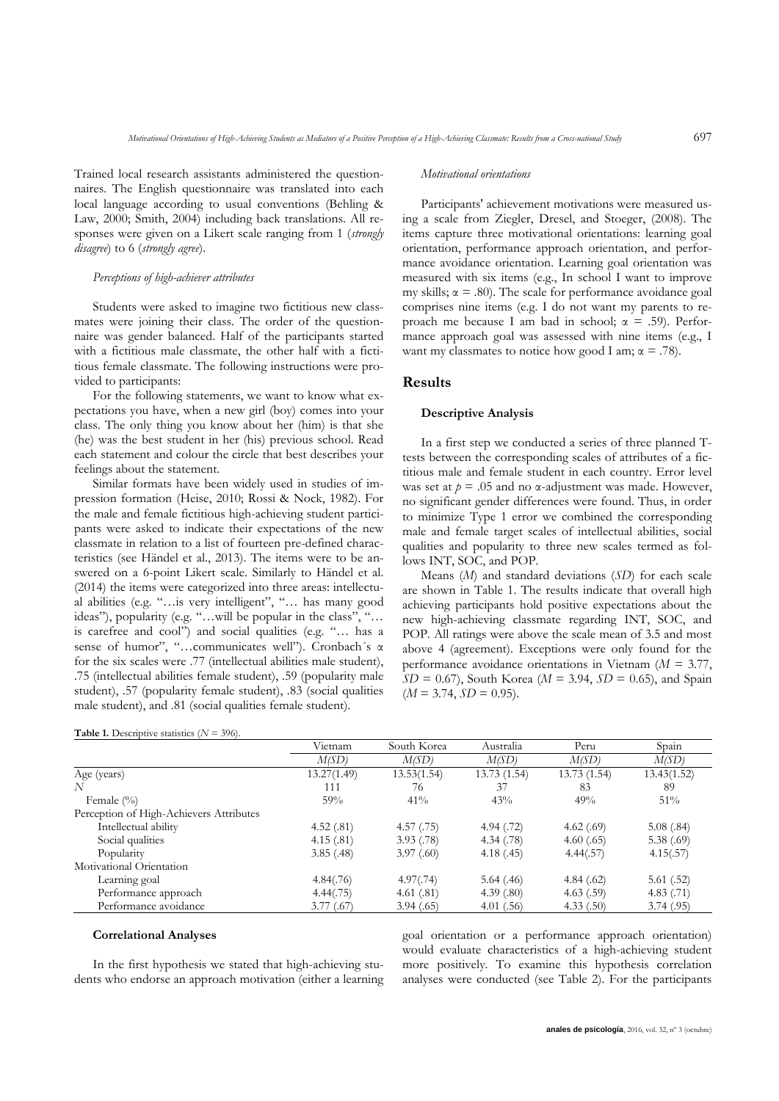Trained local research assistants administered the questionnaires. The English questionnaire was translated into each local language according to usual conventions (Behling & Law, 2000; Smith, 2004) including back translations. All responses were given on a Likert scale ranging from 1 (*strongly disagree*) to 6 (*strongly agree*).

### *Perceptions of high-achiever attributes*

Students were asked to imagine two fictitious new classmates were joining their class. The order of the questionnaire was gender balanced. Half of the participants started with a fictitious male classmate, the other half with a fictitious female classmate. The following instructions were provided to participants:

For the following statements, we want to know what expectations you have, when a new girl (boy) comes into your class. The only thing you know about her (him) is that she (he) was the best student in her (his) previous school. Read each statement and colour the circle that best describes your feelings about the statement.

Similar formats have been widely used in studies of impression formation (Heise, 2010; Rossi & Nock, 1982). For the male and female fictitious high-achieving student participants were asked to indicate their expectations of the new classmate in relation to a list of fourteen pre-defined characteristics (see Händel et al., 2013). The items were to be answered on a 6-point Likert scale. Similarly to Händel et al. (2014) the items were categorized into three areas: intellectual abilities (e.g. "...is very intelligent", "... has many good ideas"), popularity (e.g. "...will be popular in the class", "... is carefree and cool") and social qualities (e.g. "... has a sense of humor", "...communicates well"). Cronbach´s α for the six scales were .77 (intellectual abilities male student), .75 (intellectual abilities female student), .59 (popularity male student), .57 (popularity female student), .83 (social qualities male student), and .81 (social qualities female student).

Participants' achievement motivations were measured using a scale from Ziegler, Dresel, and Stoeger, (2008). The items capture three motivational orientations: learning goal orientation, performance approach orientation, and performance avoidance orientation. Learning goal orientation was measured with six items (e.g., In school I want to improve my skills;  $\alpha = .80$ ). The scale for performance avoidance goal comprises nine items (e.g. I do not want my parents to reproach me because I am bad in school;  $\alpha = .59$ ). Performance approach goal was assessed with nine items (e.g., I want my classmates to notice how good I am;  $\alpha = .78$ ).

## **Results**

#### **Descriptive Analysis**

In a first step we conducted a series of three planned Ttests between the corresponding scales of attributes of a fictitious male and female student in each country. Error level was set at  $p = .05$  and no  $\alpha$ -adjustment was made. However, no significant gender differences were found. Thus, in order to minimize Type 1 error we combined the corresponding male and female target scales of intellectual abilities, social qualities and popularity to three new scales termed as follows INT, SOC, and POP.

Means (*M*) and standard deviations (*SD*) for each scale are shown in Table 1. The results indicate that overall high achieving participants hold positive expectations about the new high-achieving classmate regarding INT, SOC, and POP. All ratings were above the scale mean of 3.5 and most above 4 (agreement). Exceptions were only found for the performance avoidance orientations in Vietnam (*M* = 3.77, *SD* = 0.67), South Korea (*M* = 3.94, *SD* = 0.65), and Spain  $(M = 3.74, SD = 0.95)$ .

|                                         | Vietnam     | South Korea            | Australia    | Peru        | Spain       |  |
|-----------------------------------------|-------------|------------------------|--------------|-------------|-------------|--|
|                                         | M(SD)       | M(SD)                  | M(SD)        | M(SD)       | M(SD)       |  |
| Age (years)                             | 13.27(1.49) | 13.53(1.54)            | 13.73 (1.54) | 13.73(1.54) | 13.43(1.52) |  |
| N                                       | 111         | 76                     | 37           | 83          | 89          |  |
| Female $(\% )$                          | 59%         | 41%                    | 43%          | 49%         | 51%         |  |
| Perception of High-Achievers Attributes |             |                        |              |             |             |  |
| Intellectual ability                    | 4.52(.81)   | 4.57(0.75)             | 4.94(.72)    | 4.62(.69)   | 5.08(.84)   |  |
| Social qualities                        | 4.15(.81)   | 3.93(0.78)             | 4.34(.78)    | 4.60(0.65)  | 5.38(.69)   |  |
| Popularity                              | 3.85(.48)   | 3.97(0.60)             | 4.18(.45)    | 4.44(.57)   | 4.15(.57)   |  |
| Motivational Orientation                |             |                        |              |             |             |  |
| Learning goal                           | 4.84(.76)   | 4.97(.74)              | 5.64(0.46)   | 4.84(.62)   | 5.61(.52)   |  |
| Performance approach                    | 4.44(.75)   | 4.61(.81)<br>4.39(.80) |              | 4.63(.59)   | 4.83(0.71)  |  |
| Performance avoidance                   | 3.77(0.67)  | 3.94(.65)              | 4.01(0.56)   | 4.33(.50)   | 3.74(.95)   |  |

**Table 1.** Descriptive statistics  $(N = 396)$ .

#### **Correlational Analyses**

In the first hypothesis we stated that high-achieving students who endorse an approach motivation (either a learning goal orientation or a performance approach orientation) would evaluate characteristics of a high-achieving student more positively. To examine this hypothesis correlation analyses were conducted (see Table 2). For the participants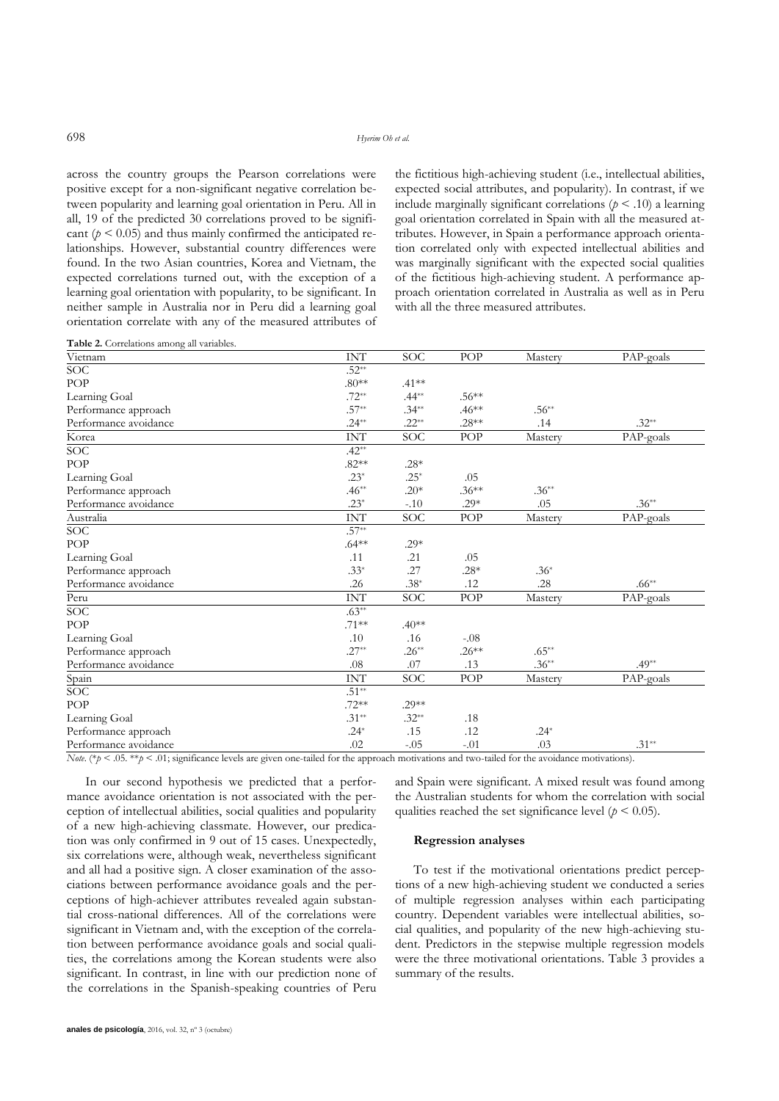across the country groups the Pearson correlations were positive except for a non-significant negative correlation between popularity and learning goal orientation in Peru. All in all, 19 of the predicted 30 correlations proved to be significant  $(p < 0.05)$  and thus mainly confirmed the anticipated relationships. However, substantial country differences were found. In the two Asian countries, Korea and Vietnam, the expected correlations turned out, with the exception of a learning goal orientation with popularity, to be significant. In neither sample in Australia nor in Peru did a learning goal orientation correlate with any of the measured attributes of the fictitious high-achieving student (i.e., intellectual abilities, expected social attributes, and popularity). In contrast, if we include marginally significant correlations  $(p < .10)$  a learning goal orientation correlated in Spain with all the measured attributes. However, in Spain a performance approach orientation correlated only with expected intellectual abilities and was marginally significant with the expected social qualities of the fictitious high-achieving student. A performance approach orientation correlated in Australia as well as in Peru with all the three measured attributes.

| Table 2. Correlations among all variables. |            |            |          |          |                         |
|--------------------------------------------|------------|------------|----------|----------|-------------------------|
| Vietnam                                    | <b>INT</b> | SOC        | POP      | Mastery  | PAP-goals               |
| $\overline{SOC}$                           | $.52**$    |            |          |          |                         |
| POP                                        | $.80**$    | $.41**$    |          |          |                         |
| Learning Goal                              | $.72**$    | $.44**$    | $.56***$ |          |                         |
| Performance approach                       | $.57**$    | $.34**$    | $.46**$  | $.56***$ |                         |
| Performance avoidance                      | $.24**$    | $.22**$    | $.28**$  | .14      | $.32**$                 |
| Korea                                      | <b>INT</b> | <b>SOC</b> | POP      | Mastery  | $\overline{PAP}$ -goals |
| SOC                                        | $.42**$    |            |          |          |                         |
| POP                                        | $.82**$    | $.28*$     |          |          |                         |
| Learning Goal                              | $.23*$     | $.25*$     | .05      |          |                         |
| Performance approach                       | $.46**$    | $.20*$     | $.36**$  | $.36***$ |                         |
| Performance avoidance                      | $.23*$     | $-.10$     | $.29*$   | .05      | $.36***$                |
| Australia                                  | <b>INT</b> | SOC        | POP      | Mastery  | PAP-goals               |
| SOC                                        | $.57**$    |            |          |          |                         |
| POP                                        | $.64***$   | $.29*$     |          |          |                         |
| Learning Goal                              | .11        | .21        | .05      |          |                         |
| Performance approach                       | $.33*$     | .27        | $.28*$   | $.36*$   |                         |
| Performance avoidance                      | .26        | $.38*$     | .12      | .28      | $.66***$                |
| Peru                                       | <b>INT</b> | <b>SOC</b> | POP      | Mastery  | PAP-goals               |
| SOC                                        | $.63**$    |            |          |          |                         |
| POP                                        | $.71**$    | $.40**$    |          |          |                         |
| Learning Goal                              | .10        | .16        | $-.08$   |          |                         |
| Performance approach                       | $.27**$    | $.26**$    | $.26**$  | $.65***$ |                         |
| Performance avoidance                      | .08        | .07        | .13      | $.36**$  | $.49**$                 |
| Spain                                      | <b>INT</b> | SOC.       | POP      | Mastery  | PAP-goals               |
| SOC                                        | $.51***$   |            |          |          |                         |
| POP                                        | $.72**$    | $.29**$    |          |          |                         |
| Learning Goal                              | $.31**$    | $.32**$    | .18      |          |                         |
| Performance approach                       | $.24*$     | .15        | .12      | $.24*$   |                         |
| Performance avoidance                      | .02        | $-.05$     | $-.01$   | .03      | $.31**$                 |

 $0.5.$  \*\* $p \le 0.01$ ; significance levels are given one-tailed for the approach motivations and two-tailed for the avoidance motivations

In our second hypothesis we predicted that a performance avoidance orientation is not associated with the perception of intellectual abilities, social qualities and popularity of a new high-achieving classmate. However, our predication was only confirmed in 9 out of 15 cases. Unexpectedly, six correlations were, although weak, nevertheless significant and all had a positive sign. A closer examination of the associations between performance avoidance goals and the perceptions of high-achiever attributes revealed again substantial cross-national differences. All of the correlations were significant in Vietnam and, with the exception of the correlation between performance avoidance goals and social qualities, the correlations among the Korean students were also significant. In contrast, in line with our prediction none of the correlations in the Spanish-speaking countries of Peru and Spain were significant. A mixed result was found among the Australian students for whom the correlation with social qualities reached the set significance level ( $p < 0.05$ ).

#### **Regression analyses**

To test if the motivational orientations predict perceptions of a new high-achieving student we conducted a series of multiple regression analyses within each participating country. Dependent variables were intellectual abilities, social qualities, and popularity of the new high-achieving student. Predictors in the stepwise multiple regression models were the three motivational orientations. Table 3 provides a summary of the results.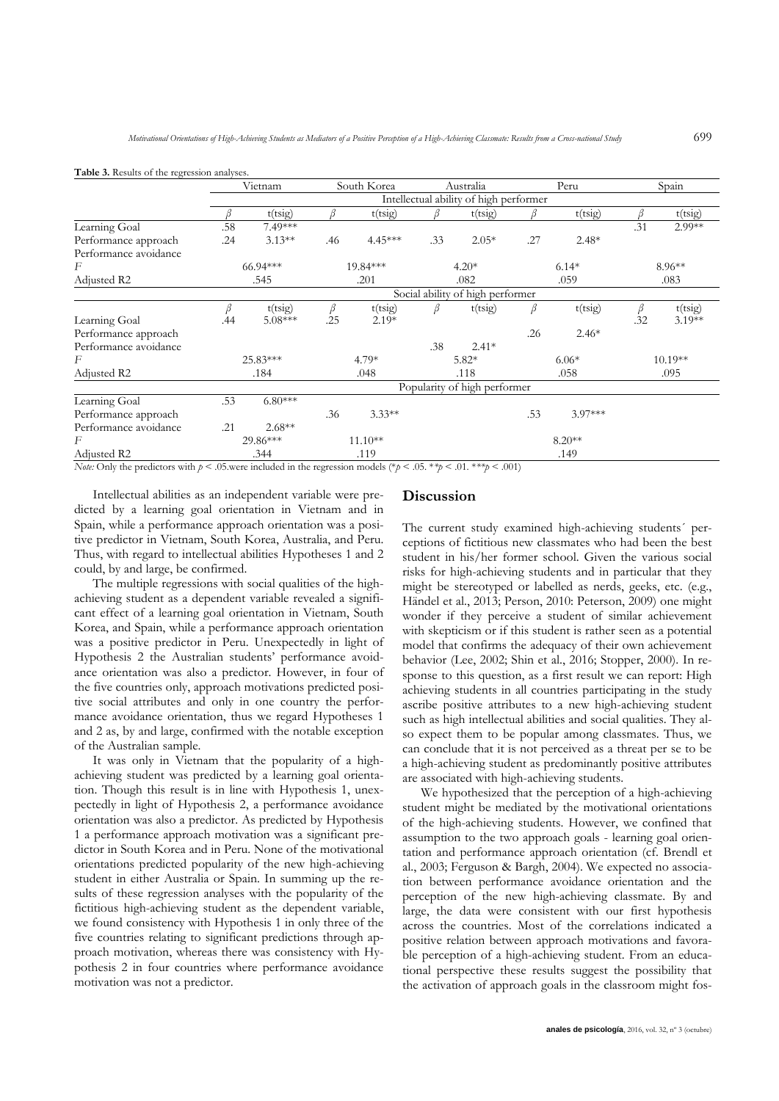| Table 3. Results of the regression analyses. |                                        |           |           |             |          |              |         |         |         |          |
|----------------------------------------------|----------------------------------------|-----------|-----------|-------------|----------|--------------|---------|---------|---------|----------|
|                                              |                                        | Vietnam   |           | South Korea |          | Australia    |         | Peru    |         | Spain    |
|                                              | Intellectual ability of high performer |           |           |             |          |              |         |         |         |          |
|                                              |                                        | t(tsig)   |           | t(tsig)     |          | t(tsig)      | R       | t(tsig) |         | t(tsig)  |
| Learning Goal                                | .58                                    | 7.49***   |           |             |          |              |         |         | .31     | 2.99**   |
| Performance approach                         | .24                                    | $3.13**$  | .46       | $4.45***$   | .33      | $2.05*$      | .27     | $2.48*$ |         |          |
| Performance avoidance                        |                                        |           |           |             |          |              |         |         |         |          |
| F                                            |                                        | 66.94***  | 19.84***  |             | $4.20*$  |              | $6.14*$ |         | 8.96**  |          |
| Adjusted R2                                  |                                        | .545      | .201      |             |          | .082<br>.059 |         |         | .083    |          |
|                                              | Social ability of high performer       |           |           |             |          |              |         |         |         |          |
|                                              | β                                      | t(tsig)   | $\beta$   | t(tsig)     | β        | t(tsig)      | β       | t(tsig) | $\beta$ | t(tsig)  |
| Learning Goal                                | .44                                    | $5.08***$ | .25       | $2.19*$     |          |              |         |         | .32     | $3.19**$ |
| Performance approach                         |                                        |           |           |             |          |              | .26     | $2.46*$ |         |          |
| Performance avoidance                        |                                        |           |           |             | .38      | $2.41*$      |         |         |         |          |
| F                                            |                                        | 25.83***  | 4.79*     |             | 5.82*    |              | $6.06*$ |         | 10.19** |          |
| Adjusted R2                                  |                                        | .184      |           | .048        |          | .118         |         | .058    |         | .095     |
|                                              | Popularity of high performer           |           |           |             |          |              |         |         |         |          |
| Learning Goal                                | .53                                    | $6.80***$ |           |             |          |              |         |         |         |          |
| Performance approach                         |                                        |           | .36       | $3.33**$    |          |              | .53     | 3.97*** |         |          |
| Performance avoidance                        | .21                                    | $2.68**$  |           |             |          |              |         |         |         |          |
| F                                            | 29.86***                               |           | $11.10**$ |             | $8.20**$ |              |         |         |         |          |
| Adjusted R2                                  |                                        | .344      | .119      |             |          | .149         |         |         |         |          |

*Note:* Only the predictors with *p* < .05.were included in the regression models (\**p* < .05. \**\*p* < .01. \**\*\*p* < .001)

Intellectual abilities as an independent variable were predicted by a learning goal orientation in Vietnam and in Spain, while a performance approach orientation was a positive predictor in Vietnam, South Korea, Australia, and Peru. Thus, with regard to intellectual abilities Hypotheses 1 and 2 could, by and large, be confirmed.

The multiple regressions with social qualities of the highachieving student as a dependent variable revealed a significant effect of a learning goal orientation in Vietnam, South Korea, and Spain, while a performance approach orientation was a positive predictor in Peru. Unexpectedly in light of Hypothesis 2 the Australian students' performance avoidance orientation was also a predictor. However, in four of the five countries only, approach motivations predicted positive social attributes and only in one country the performance avoidance orientation, thus we regard Hypotheses 1 and 2 as, by and large, confirmed with the notable exception of the Australian sample.

It was only in Vietnam that the popularity of a highachieving student was predicted by a learning goal orientation. Though this result is in line with Hypothesis 1, unexpectedly in light of Hypothesis 2, a performance avoidance orientation was also a predictor. As predicted by Hypothesis 1 a performance approach motivation was a significant predictor in South Korea and in Peru. None of the motivational orientations predicted popularity of the new high-achieving student in either Australia or Spain. In summing up the results of these regression analyses with the popularity of the fictitious high-achieving student as the dependent variable, we found consistency with Hypothesis 1 in only three of the five countries relating to significant predictions through approach motivation, whereas there was consistency with Hypothesis 2 in four countries where performance avoidance motivation was not a predictor.

## **Discussion**

The current study examined high-achieving students´ perceptions of fictitious new classmates who had been the best student in his/her former school. Given the various social risks for high-achieving students and in particular that they might be stereotyped or labelled as nerds, geeks, etc. (e.g., Händel et al., 2013; Person, 2010: Peterson, 2009) one might wonder if they perceive a student of similar achievement with skepticism or if this student is rather seen as a potential model that confirms the adequacy of their own achievement behavior (Lee, 2002; Shin et al., 2016; Stopper, 2000). In response to this question, as a first result we can report: High achieving students in all countries participating in the study ascribe positive attributes to a new high-achieving student such as high intellectual abilities and social qualities. They also expect them to be popular among classmates. Thus, we can conclude that it is not perceived as a threat per se to be a high-achieving student as predominantly positive attributes are associated with high-achieving students.

We hypothesized that the perception of a high-achieving student might be mediated by the motivational orientations of the high-achieving students. However, we confined that assumption to the two approach goals - learning goal orientation and performance approach orientation (cf. Brendl et al., 2003; Ferguson & Bargh, 2004). We expected no association between performance avoidance orientation and the perception of the new high-achieving classmate. By and large, the data were consistent with our first hypothesis across the countries. Most of the correlations indicated a positive relation between approach motivations and favorable perception of a high-achieving student. From an educational perspective these results suggest the possibility that the activation of approach goals in the classroom might fos-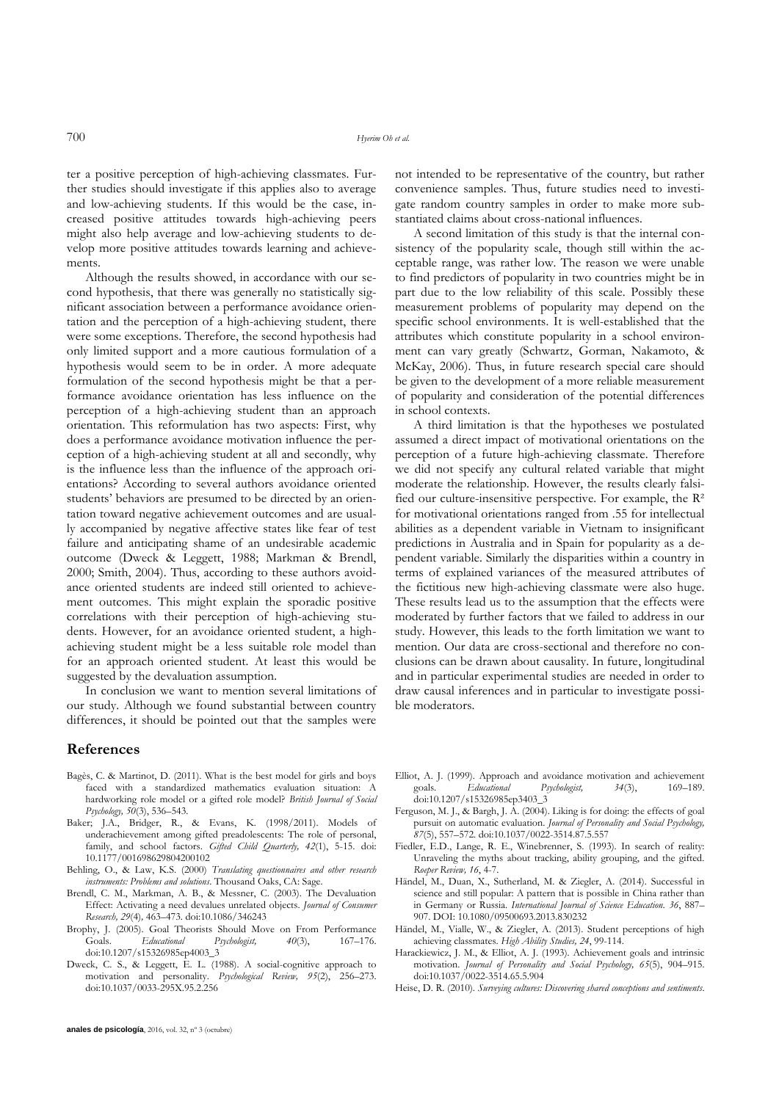ter a positive perception of high-achieving classmates. Further studies should investigate if this applies also to average and low-achieving students. If this would be the case, increased positive attitudes towards high-achieving peers might also help average and low-achieving students to develop more positive attitudes towards learning and achievements.

Although the results showed, in accordance with our second hypothesis, that there was generally no statistically significant association between a performance avoidance orientation and the perception of a high-achieving student, there were some exceptions. Therefore, the second hypothesis had only limited support and a more cautious formulation of a hypothesis would seem to be in order. A more adequate formulation of the second hypothesis might be that a performance avoidance orientation has less influence on the perception of a high-achieving student than an approach orientation. This reformulation has two aspects: First, why does a performance avoidance motivation influence the perception of a high-achieving student at all and secondly, why is the influence less than the influence of the approach orientations? According to several authors avoidance oriented students' behaviors are presumed to be directed by an orientation toward negative achievement outcomes and are usually accompanied by negative affective states like fear of test failure and anticipating shame of an undesirable academic outcome (Dweck & Leggett, 1988; Markman & Brendl, 2000; Smith, 2004). Thus, according to these authors avoidance oriented students are indeed still oriented to achievement outcomes. This might explain the sporadic positive correlations with their perception of high-achieving students. However, for an avoidance oriented student, a highachieving student might be a less suitable role model than for an approach oriented student. At least this would be suggested by the devaluation assumption.

In conclusion we want to mention several limitations of our study. Although we found substantial between country differences, it should be pointed out that the samples were

## **References**

- Bagès, C. & Martinot, D. (2011). What is the best model for girls and boys faced with a standardized mathematics evaluation situation: A hardworking role model or a gifted role model? *British Journal of Social Psychology, 50*(3), 536–543.
- Baker; J.A., Bridger, R., & Evans, K. (1998/2011). Models of underachievement among gifted preadolescents: The role of personal, family, and school factors. *Gifted Child Quarterly, 42*(1), 5-15. doi: 10.1177/001698629804200102
- Behling, O., & Law, K.S. (2000) *Translating questionnaires and other research instruments: Problems and solutions*. Thousand Oaks, CA: Sage.
- Brendl, C. M., Markman, A. B., & Messner, C. (2003). The Devaluation Effect: Activating a need devalues unrelated objects. *Journal of Consumer Research, 29*(4)*,* 463–473. doi:10.1086/346243
- Brophy, J. (2005). Goal Theorists Should Move on From Performance Goals. *Educational* Psychologist, 40(3), 167-176. doi:10.1207/s15326985ep4003\_3
- Dweck, C. S., & Leggett, E. L. (1988). A social-cognitive approach to motivation and personality. *Psychological Review, 95*(2), 256–273. doi:10.1037/0033-295X.95.2.256

not intended to be representative of the country, but rather convenience samples. Thus, future studies need to investigate random country samples in order to make more substantiated claims about cross-national influences.

A second limitation of this study is that the internal consistency of the popularity scale, though still within the acceptable range, was rather low. The reason we were unable to find predictors of popularity in two countries might be in part due to the low reliability of this scale. Possibly these measurement problems of popularity may depend on the specific school environments. It is well-established that the attributes which constitute popularity in a school environment can vary greatly (Schwartz, Gorman, Nakamoto, & McKay, 2006). Thus, in future research special care should be given to the development of a more reliable measurement of popularity and consideration of the potential differences in school contexts.

A third limitation is that the hypotheses we postulated assumed a direct impact of motivational orientations on the perception of a future high-achieving classmate. Therefore we did not specify any cultural related variable that might moderate the relationship. However, the results clearly falsified our culture-insensitive perspective. For example, the  $\mathbb{R}^2$ for motivational orientations ranged from .55 for intellectual abilities as a dependent variable in Vietnam to insignificant predictions in Australia and in Spain for popularity as a dependent variable. Similarly the disparities within a country in terms of explained variances of the measured attributes of the fictitious new high-achieving classmate were also huge. These results lead us to the assumption that the effects were moderated by further factors that we failed to address in our study. However, this leads to the forth limitation we want to mention. Our data are cross-sectional and therefore no conclusions can be drawn about causality. In future, longitudinal and in particular experimental studies are needed in order to draw causal inferences and in particular to investigate possible moderators.

- Elliot, A. J. (1999). Approach and avoidance motivation and achievement goals. *Educational Psychologist, 34*(3), 169–189. doi:10.1207/s15326985ep3403\_3
- Ferguson, M. J., & Bargh, J. A. (2004). Liking is for doing: the effects of goal pursuit on automatic evaluation. *Journal of Personality and Social Psychology, 87*(5), 557–572. doi:10.1037/0022-3514.87.5.557
- Fiedler, E.D., Lange, R. E., Winebrenner, S. (1993). In search of reality: Unraveling the myths about tracking, ability grouping, and the gifted. *Roeper Review, 16*, 4-7.
- Händel, M., Duan, X., Sutherland, M. & Ziegler, A. (2014). Successful in science and still popular: A pattern that is possible in China rather than in Germany or Russia. *International Journal of Science Education. 36*, 887– 907. DOI: 10.1080/09500693.2013.830232
- Händel, M., Vialle, W., & Ziegler, A. (2013). Student perceptions of high achieving classmates. *High Ability Studies, 24*, 99-114.
- Harackiewicz, J. M., & Elliot, A. J. (1993). Achievement goals and intrinsic motivation. *Journal of Personality and Social Psychology, 65*(5), 904–915. doi:10.1037/0022-3514.65.5.904
- Heise, D. R. (2010). *Surveying cultures: Discovering shared conceptions and sentiments*.